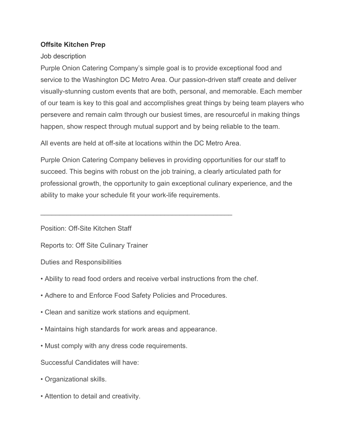## **Offsite Kitchen Prep**

## Job description

Purple Onion Catering Company's simple goal is to provide exceptional food and service to the Washington DC Metro Area. Our passion-driven staff create and deliver visually-stunning custom events that are both, personal, and memorable. Each member of our team is key to this goal and accomplishes great things by being team players who persevere and remain calm through our busiest times, are resourceful in making things happen, show respect through mutual support and by being reliable to the team.

All events are held at off-site at locations within the DC Metro Area.

\_\_\_\_\_\_\_\_\_\_\_\_\_\_\_\_\_\_\_\_\_\_\_\_\_\_\_\_\_\_\_\_\_\_\_\_\_\_\_\_\_\_\_\_\_\_\_\_\_\_\_

Purple Onion Catering Company believes in providing opportunities for our staff to succeed. This begins with robust on the job training, a clearly articulated path for professional growth, the opportunity to gain exceptional culinary experience, and the ability to make your schedule fit your work-life requirements.

Position: Off-Site Kitchen Staff

Reports to: Off Site Culinary Trainer

Duties and Responsibilities

- Ability to read food orders and receive verbal instructions from the chef.
- Adhere to and Enforce Food Safety Policies and Procedures.
- Clean and sanitize work stations and equipment.
- Maintains high standards for work areas and appearance.
- Must comply with any dress code requirements.

Successful Candidates will have:

- Organizational skills.
- Attention to detail and creativity.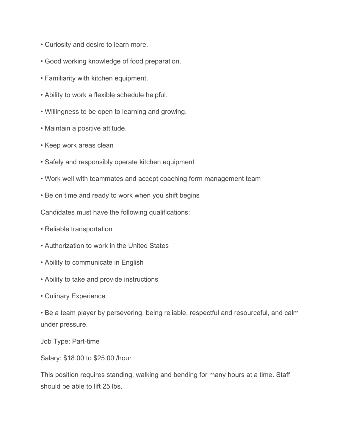- Curiosity and desire to learn more.
- Good working knowledge of food preparation.
- Familiarity with kitchen equipment.
- Ability to work a flexible schedule helpful.
- Willingness to be open to learning and growing.
- Maintain a positive attitude.
- Keep work areas clean
- Safely and responsibly operate kitchen equipment
- Work well with teammates and accept coaching form management team
- Be on time and ready to work when you shift begins

Candidates must have the following qualifications:

- Reliable transportation
- Authorization to work in the United States
- Ability to communicate in English
- Ability to take and provide instructions
- Culinary Experience

• Be a team player by persevering, being reliable, respectful and resourceful, and calm under pressure.

Job Type: Part-time

Salary: \$18.00 to \$25.00 /hour

This position requires standing, walking and bending for many hours at a time. Staff should be able to lift 25 lbs.